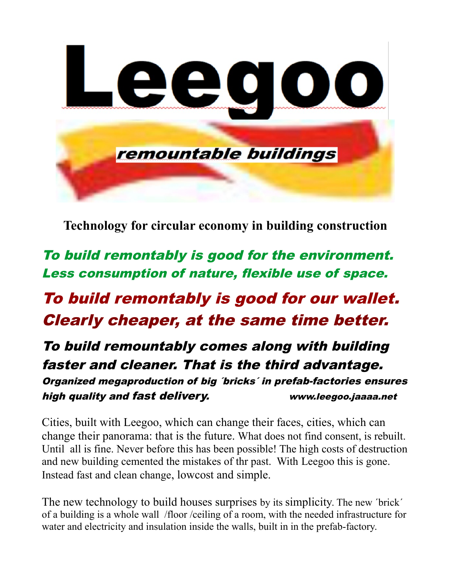

**Technology for circular economy in building construction**

To build remontably is good for the environment. Less consumption of nature, flexible use of space.

To build remontably is good for our wallet. Clearly cheaper, at the same time better.

To build remountably comes along with building faster and cleaner. That is the third advantage. Organized megaproduction of big ´bricks´ in prefab-factories ensures high quality and fast delivery. www.leegoo.jaaaa.net

Cities, built with Leegoo, which can change their faces, cities, which can change their panorama: that is the future. What does not find consent, is rebuilt. Until all is fine. Never before this has been possible! The high costs of destruction and new building cemented the mistakes of thr past. With Leegoo this is gone. Instead fast and clean change, lowcost and simple.

The new technology to build houses surprises by its simplicity. The new 'brick' of a building is a whole wall /floor /ceiling of a room, with the needed infrastructure for water and electricity and insulation inside the walls, built in in the prefab-factory.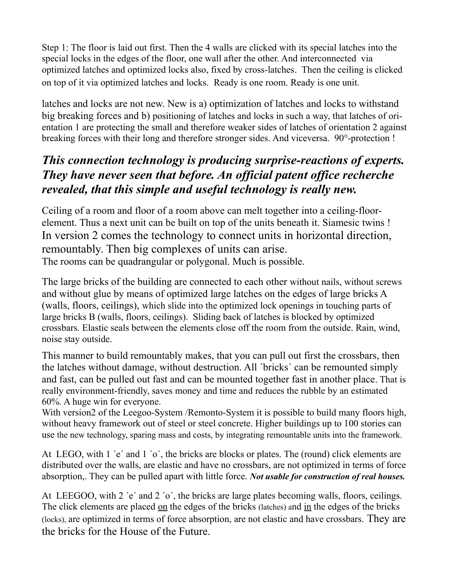Step 1: The floor is laid out first. Then the 4 walls are clicked with its special latches into the special locks in the edges of the floor, one wall after the other. And interconnected via optimized latches and optimized locks also, fixed by cross-latches. Then the ceiling is clicked on top of it via optimized latches and locks. Ready is one room. Ready is one unit.

latches and locks are not new. New is a) optimization of latches and locks to withstand big breaking forces and b) positioning of latches and locks in such a way, that latches of orientation 1 are protecting the small and therefore weaker sides of latches of orientation 2 against breaking forces with their long and therefore stronger sides. And viceversa. 90°-protection !

### *This connection technology is producing surprise-reactions of experts. They have never seen that before. An official patent office recherche revealed, that this simple and useful technology is really new.*

Ceiling of a room and floor of a room above can melt together into a ceiling-floorelement. Thus a next unit can be built on top of the units beneath it. Siamesic twins ! In version 2 comes the technology to connect units in horizontal direction, remountably. Then big complexes of units can arise. The rooms can be quadrangular or polygonal. Much is possible.

The large bricks of the building are connected to each other without nails, without screws and without glue by means of optimized large latches on the edges of large bricks A (walls, floors, ceilings), which slide into the optimized lock openings in touching parts of large bricks B (walls, floors, ceilings). Sliding back of latches is blocked by optimized crossbars. Elastic seals between the elements close off the room from the outside. Rain, wind, noise stay outside.

This manner to build remountably makes, that you can pull out first the crossbars, then the latches without damage, without destruction. All ´bricks´ can be remounted simply and fast, can be pulled out fast and can be mounted together fast in another place. That is really environment-friendly, saves money and time and reduces the rubble by an estimated 60%. A huge win for everyone.

With version2 of the Leegoo-System /Remonto-System it is possible to build many floors high, without heavy framework out of steel or steel concrete. Higher buildings up to 100 stories can use the new technology, sparing mass and costs, by integrating remountable units into the framework.

At LEGO, with 1 'e' and 1 'o', the bricks are blocks or plates. The (round) click elements are distributed over the walls, are elastic and have no crossbars, are not optimized in terms of force absorption,. They can be pulled apart with little force. *Not usable for construction of real houses.*

At LEEGOO, with 2 'e' and 2 'o', the bricks are large plates becoming walls, floors, ceilings. The click elements are placed on the edges of the bricks (latches) and in the edges of the bricks (locks), are optimized in terms of force absorption, are not elastic and have crossbars. They are the bricks for the House of the Future.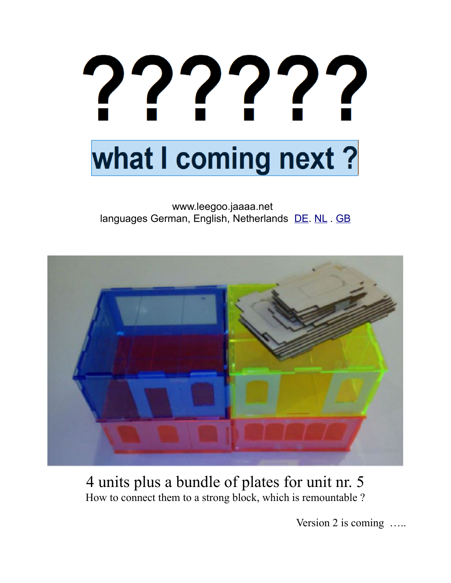# 22222 what I coming next?

#### www.leegoo.jaaaa.net languages German, English, Netherlands [DE. NL](http://www.leegoo.jaaaa.net/) . [GB](http://www.leegoo.jaaaa.net/)



## 4 units plus a bundle of plates for unit nr. 5 How to connect them to a strong block, which is remountable ?

Version 2 is coming .....